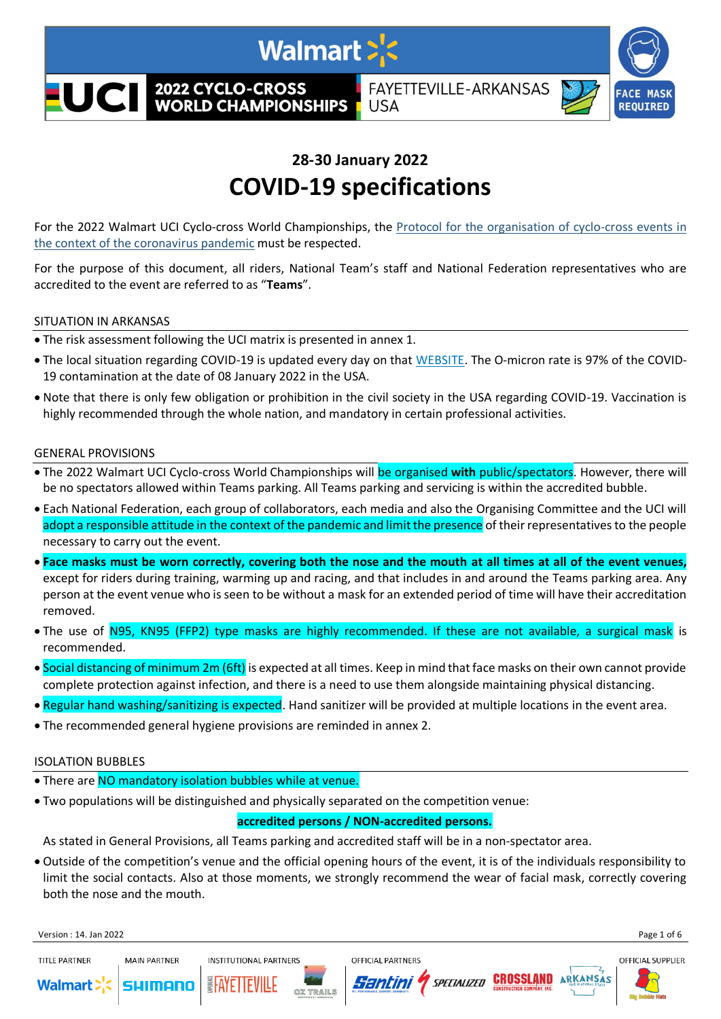

# **28-30 January 2022 COVID-19 specifications**

For the 2022 Walmart UCI Cyclo-cross World Championships, the [Protocol for the organisation of cyclo-cross events in](https://www.uci.org/covid-19-pandemic-international-events-protocols-for-organisation-and/2Cm1PAdb4wjLf6XswFgbiU)  [the context of the coronavirus pandemic](https://www.uci.org/covid-19-pandemic-international-events-protocols-for-organisation-and/2Cm1PAdb4wjLf6XswFgbiU) must be respected.

For the purpose of this document, all riders, National Team's staff and National Federation representatives who are accredited to the event are referred to as "**Teams**".

#### SITUATION IN ARKANSAS

- The risk assessment following the UCI matrix is presented in annex 1.
- The local situation regarding COVID-19 is updated every day on that [WEBSITE.](https://covidactnow.org/us/metro/fayetteville-springdale-rogers_ar/?s=27991690&utm_medium=email&utm_source=risk_alerts) The O-micron rate is 97% of the COVID-19 contamination at the date of 08 January 2022 in the USA.
- Note that there is only few obligation or prohibition in the civil society in the USA regarding COVID-19. Vaccination is highly recommended through the whole nation, and mandatory in certain professional activities.

#### GENERAL PROVISIONS

- The 2022 Walmart UCI Cyclo-cross World Championships will be organised **with** public/spectators. However, there will be no spectators allowed within Teams parking. All Teams parking and servicing is within the accredited bubble.
- Each National Federation, each group of collaborators, each media and also the Organising Committee and the UCI will adopt a responsible attitude in the context of the pandemic and limit the presence of their representatives to the people necessary to carry out the event.
- **Face masks must be worn correctly, covering both the nose and the mouth at all times at all of the event venues,** except for riders during training, warming up and racing, and that includes in and around the Teams parking area. Any person at the event venue who is seen to be without a mask for an extended period of time will have their accreditation removed.
- The use of N95, KN95 (FFP2) type masks are highly recommended. If these are not available, a surgical mask is recommended.
- Social distancing of minimum 2m (6ft) is expected at all times. Keep in mind that face masks on their own cannot provide complete protection against infection, and there is a need to use them alongside maintaining physical distancing.
- Regular hand washing/sanitizing is expected. Hand sanitizer will be provided at multiple locations in the event area.
- The recommended general hygiene provisions are reminded in annex 2.

### ISOLATION BUBBLES

- There are NO mandatory isolation bubbles while at venue.
- Two populations will be distinguished and physically separated on the competition venue:

### **accredited persons / NON-accredited persons.**

As stated in General Provisions, all Teams parking and accredited staff will be in a non-spectator area.

• Outside of the competition's venue and the official opening hours of the event, it is of the individuals responsibility to limit the social contacts. Also at those moments, we strongly recommend the wear of facial mask, correctly covering both the nose and the mouth.

Version : 14. Jan 2022 Page 1 of 6

TITI F PARTNER



**MAIN PARTNER** 











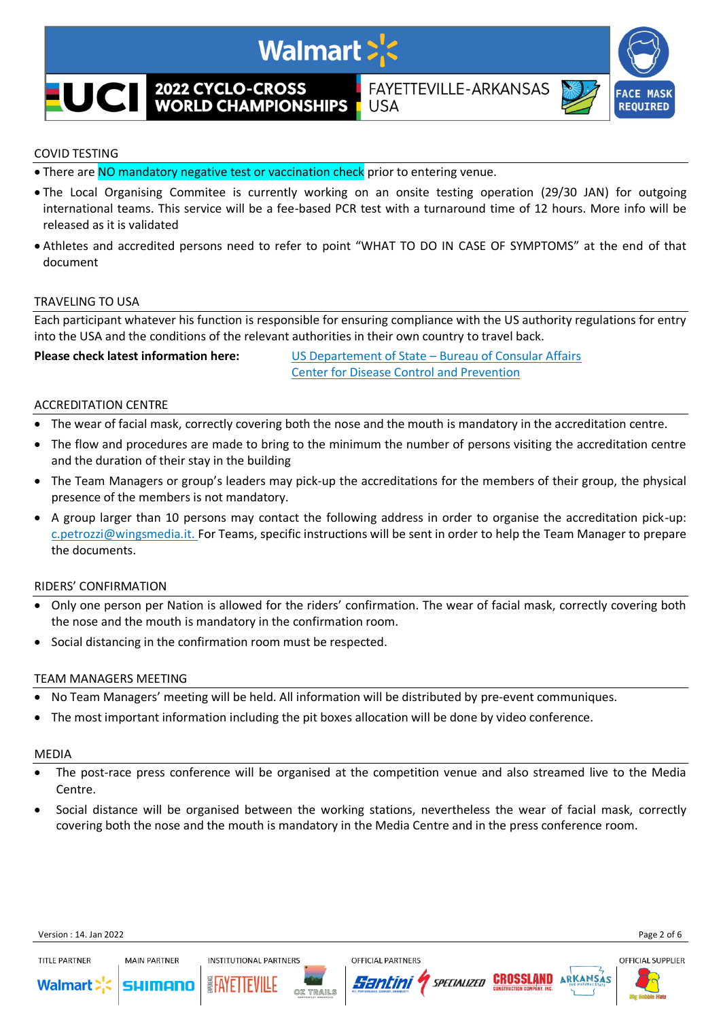

# COVID TESTING

- There are NO mandatory negative test or vaccination check prior to entering venue.
- The Local Organising Commitee is currently working on an onsite testing operation (29/30 JAN) for outgoing international teams. This service will be a fee-based PCR test with a turnaround time of 12 hours. More info will be released as it is validated
- Athletes and accredited persons need to refer to point "WHAT TO DO IN CASE OF SYMPTOMS" at the end of that document

#### TRAVELING TO USA

Each participant whatever his function is responsible for ensuring compliance with the US authority regulations for entry into the USA and the conditions of the relevant authorities in their own country to travel back.

**Please check latest information here:** US Departement of State – [Bureau of Consular Affairs](https://travel.state.gov/content/travel/en/traveladvisories/ea/requirements-for-air-travelers-to-the-us.html) [Center for Disease Control and Prevention](https://www.cdc.gov/coronavirus/2019-ncov/travelers/index.html)

#### ACCREDITATION CENTRE

- The wear of facial mask, correctly covering both the nose and the mouth is mandatory in the accreditation centre.
- The flow and procedures are made to bring to the minimum the number of persons visiting the accreditation centre and the duration of their stay in the building
- The Team Managers or group's leaders may pick-up the accreditations for the members of their group, the physical presence of the members is not mandatory.
- A group larger than 10 persons may contact the following address in order to organise the accreditation pick-up: [c.petrozzi@wingsmedia.it.](mailto:c.petrozzi@wingsmedia.it) For Teams, specific instructions will be sent in order to help the Team Manager to prepare the documents.

#### RIDERS' CONFIRMATION

- Only one person per Nation is allowed for the riders' confirmation. The wear of facial mask, correctly covering both the nose and the mouth is mandatory in the confirmation room.
- Social distancing in the confirmation room must be respected.

#### TEAM MANAGERS MEETING

- No Team Managers' meeting will be held. All information will be distributed by pre-event communiques.
- The most important information including the pit boxes allocation will be done by video conference.

#### MEDIA

- The post-race press conference will be organised at the competition venue and also streamed live to the Media Centre.
- Social distance will be organised between the working stations, nevertheless the wear of facial mask, correctly covering both the nose and the mouth is mandatory in the Media Centre and in the press conference room.

**OFFICIAL PARTNERS** 

Santini

SPECIALIZED **CROSSLAND** 



**MAIN PARTNER** 

sulmano

**INSTITUTIONAL PARTNERS** 

**Walmart** 



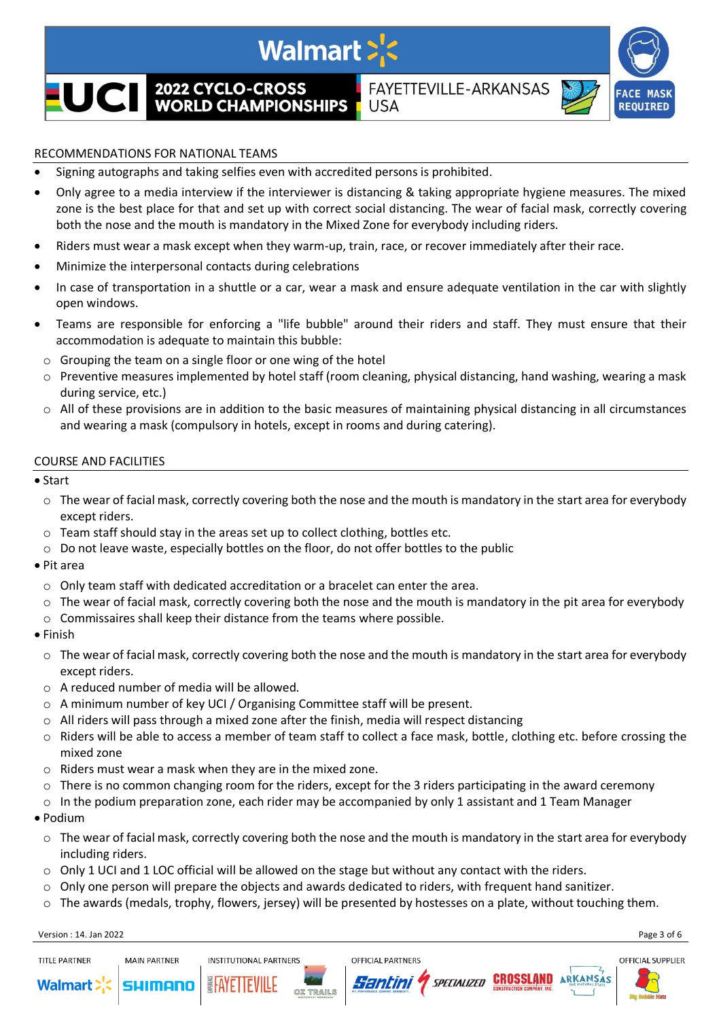

# RECOMMENDATIONS FOR NATIONAL TEAMS

- Signing autographs and taking selfies even with accredited persons is prohibited.
- Only agree to a media interview if the interviewer is distancing & taking appropriate hygiene measures. The mixed zone is the best place for that and set up with correct social distancing. The wear of facial mask, correctly covering both the nose and the mouth is mandatory in the Mixed Zone for everybody including riders.
- Riders must wear a mask except when they warm-up, train, race, or recover immediately after their race.
- Minimize the interpersonal contacts during celebrations
- In case of transportation in a shuttle or a car, wear a mask and ensure adequate ventilation in the car with slightly open windows.
- Teams are responsible for enforcing a "life bubble" around their riders and staff. They must ensure that their accommodation is adequate to maintain this bubble:
- o Grouping the team on a single floor or one wing of the hotel
- $\circ$  Preventive measures implemented by hotel staff (room cleaning, physical distancing, hand washing, wearing a mask during service, etc.)
- $\circ$  All of these provisions are in addition to the basic measures of maintaining physical distancing in all circumstances and wearing a mask (compulsory in hotels, except in rooms and during catering).

### COURSE AND FACILITIES

- Start
	- $\circ$  The wear of facial mask, correctly covering both the nose and the mouth is mandatory in the start area for everybody except riders.
	- $\circ$  Team staff should stay in the areas set up to collect clothing, bottles etc.
	- $\circ$  Do not leave waste, especially bottles on the floor, do not offer bottles to the public
- Pit area
	- o Only team staff with dedicated accreditation or a bracelet can enter the area.
	- o The wear of facial mask, correctly covering both the nose and the mouth is mandatory in the pit area for everybody
	- o Commissaires shall keep their distance from the teams where possible.
- Finish
	- $\circ$  The wear of facial mask, correctly covering both the nose and the mouth is mandatory in the start area for everybody except riders.
	- o A reduced number of media will be allowed.
	- o A minimum number of key UCI / Organising Committee staff will be present.
	- $\circ$  All riders will pass through a mixed zone after the finish, media will respect distancing
	- $\circ$  Riders will be able to access a member of team staff to collect a face mask, bottle, clothing etc. before crossing the mixed zone
	- o Riders must wear a mask when they are in the mixed zone.
	- o There is no common changing room for the riders, except for the 3 riders participating in the award ceremony
	- $\circ$  In the podium preparation zone, each rider may be accompanied by only 1 assistant and 1 Team Manager
- Podium
	- $\circ$  The wear of facial mask, correctly covering both the nose and the mouth is mandatory in the start area for everybody including riders.
	- $\circ$  Only 1 UCI and 1 LOC official will be allowed on the stage but without any contact with the riders.
	- $\circ$  Only one person will prepare the objects and awards dedicated to riders, with frequent hand sanitizer.
	- $\circ$  The awards (medals, trophy, flowers, jersey) will be presented by hostesses on a plate, without touching them.

Version : 14. Jan 2022 Page 3 of 6





**MAIN PARTNER** 





**OFFICIAL PARTNERS** 



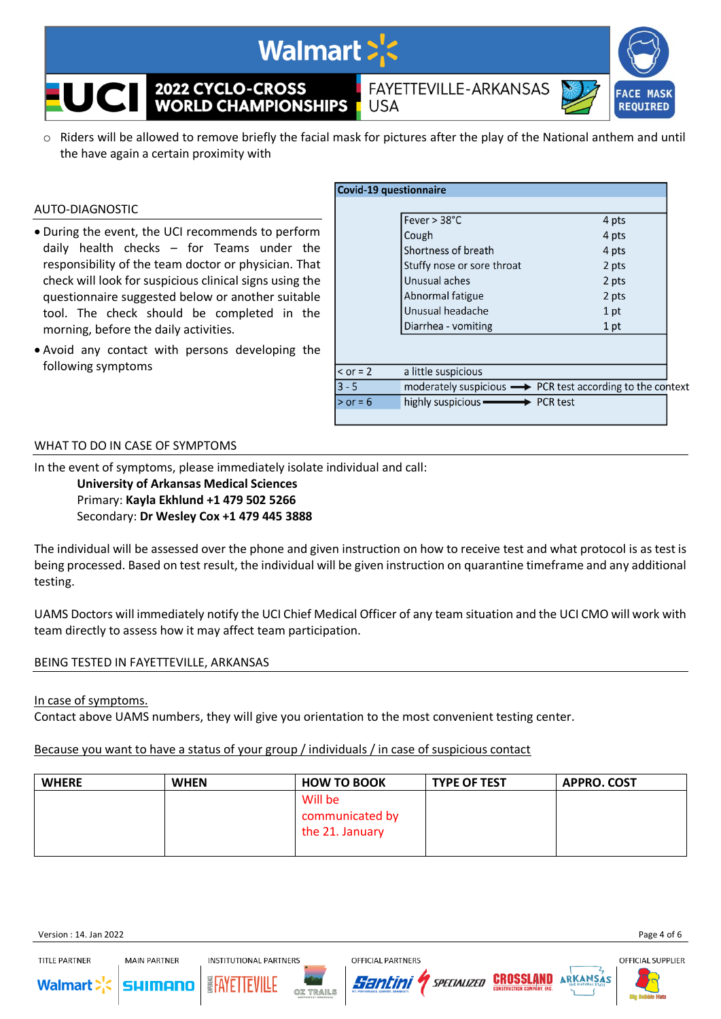

 $\circ$  Riders will be allowed to remove briefly the facial mask for pictures after the play of the National anthem and until the have again a certain proximity with

#### AUTO-DIAGNOSTIC

- During the event, the UCI recommends to perform daily health checks – for Teams under the responsibility of the team doctor or physician. That check will look for suspicious clinical signs using the questionnaire suggested below or another suitable tool. The check should be completed in the morning, before the daily activities.
- Avoid any contact with persons developing the following symptoms

|            | <b>Covid-19 questionnaire</b>                                             |       |
|------------|---------------------------------------------------------------------------|-------|
|            |                                                                           |       |
|            | Fever $> 38^{\circ}$ C                                                    | 4 pts |
|            | Cough                                                                     | 4 pts |
|            | Shortness of breath                                                       | 4 pts |
|            | Stuffy nose or sore throat                                                | 2 pts |
|            | Unusual aches                                                             | 2 pts |
|            | Abnormal fatigue                                                          | 2 pts |
|            | Unusual headache                                                          | 1 pt  |
|            | Diarrhea - vomiting                                                       | 1 pt  |
|            |                                                                           |       |
|            |                                                                           |       |
| $<$ or = 2 | a little suspicious                                                       |       |
| $3 - 5$    | moderately suspicious $\longrightarrow$ PCR test according to the context |       |
| $>$ or = 6 | highly suspicious —————> PCR test                                         |       |
|            |                                                                           |       |

#### WHAT TO DO IN CASE OF SYMPTOMS

In the event of symptoms, please immediately isolate individual and call:

**University of Arkansas Medical Sciences** Primary: **Kayla Ekhlund +1 479 502 5266** Secondary: **Dr Wesley Cox +1 479 445 3888**

The individual will be assessed over the phone and given instruction on how to receive test and what protocol is as test is being processed. Based on test result, the individual will be given instruction on quarantine timeframe and any additional testing.

UAMS Doctors will immediately notify the UCI Chief Medical Officer of any team situation and the UCI CMO will work with team directly to assess how it may affect team participation.

### BEING TESTED IN FAYETTEVILLE, ARKANSAS

**MAIN PARTNER** 

### In case of symptoms.

Contact above UAMS numbers, they will give you orientation to the most convenient testing center.

# Because you want to have a status of your group / individuals / in case of suspicious contact

| <b>WHERE</b> | <b>WHEN</b> | <b>HOW TO BOOK</b> | <b>TYPE OF TEST</b> | <b>APPRO. COST</b> |
|--------------|-------------|--------------------|---------------------|--------------------|
|              |             | Will be            |                     |                    |
|              |             | communicated by    |                     |                    |
|              |             | the 21. January    |                     |                    |
|              |             |                    |                     |                    |



TITI F PARTNER







SPECIALIZED

Santini

OFFICIAL SUPPLIER



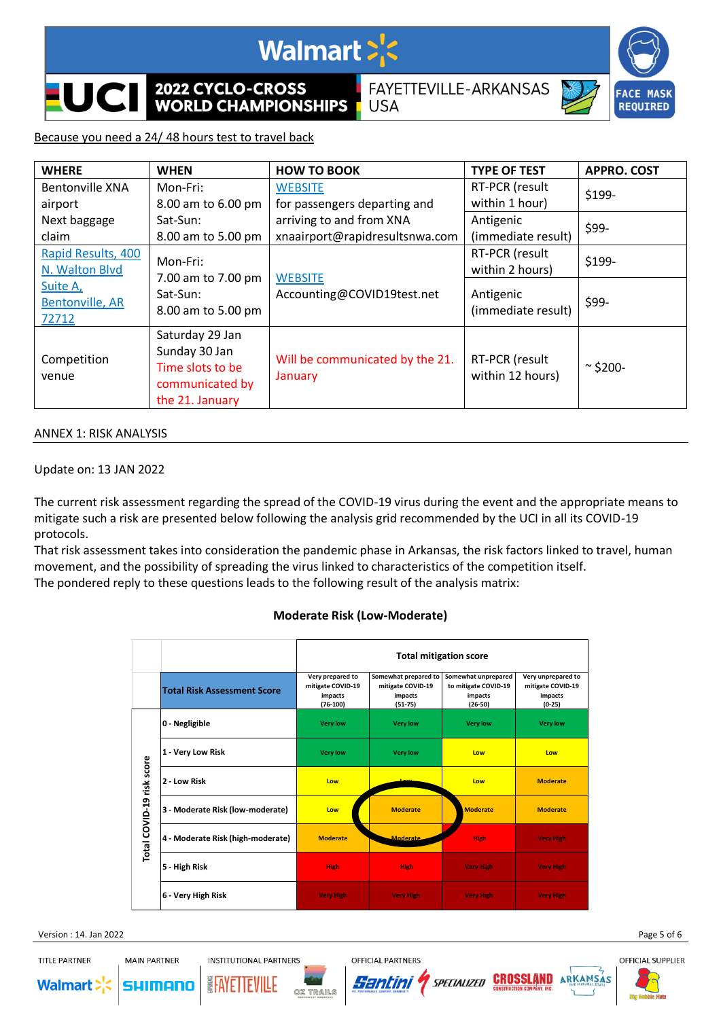

2022 CYCLO-CROSS **WORLD CHAMPIONSHIPS**  FAYETTEVILLE-ARKANSAS



# Because you need a 24/ 48 hours test to travel back

| <b>WHERE</b>                                                                                                                                            | <b>WHEN</b>                                                                                | <b>HOW TO BOOK</b>                                         | <b>TYPE OF TEST</b>                | <b>APPRO. COST</b> |
|---------------------------------------------------------------------------------------------------------------------------------------------------------|--------------------------------------------------------------------------------------------|------------------------------------------------------------|------------------------------------|--------------------|
| <b>Bentonville XNA</b>                                                                                                                                  | Mon-Fri:                                                                                   | <b>WEBSITE</b>                                             | RT-PCR (result                     | \$199-             |
| airport                                                                                                                                                 | 8.00 am to 6.00 pm                                                                         | for passengers departing and                               | within 1 hour)                     |                    |
| Next baggage<br>claim                                                                                                                                   | Sat-Sun:<br>8.00 am to 5.00 pm                                                             | arriving to and from XNA<br>xnaairport@rapidresultsnwa.com | Antigenic<br>(immediate result)    | \$99-              |
| Rapid Results, 400<br>Mon-Fri:<br>N. Walton Blvd<br>7.00 am to 7.00 pm<br>Suite A,<br>Sat-Sun:<br><b>Bentonville, AR</b><br>8.00 am to 5.00 pm<br>72712 |                                                                                            | RT-PCR (result<br>within 2 hours)                          | \$199-                             |                    |
|                                                                                                                                                         |                                                                                            | <b>WEBSITE</b><br>Accounting@COVID19test.net               | Antigenic<br>(immediate result)    | \$99-              |
| Competition<br>venue                                                                                                                                    | Saturday 29 Jan<br>Sunday 30 Jan<br>Time slots to be<br>communicated by<br>the 21. January | Will be communicated by the 21.<br>January                 | RT-PCR (result<br>within 12 hours) | $\sim$ \$200-      |

**USA** 

#### ANNEX 1: RISK ANALYSIS

## Update on: 13 JAN 2022

The current risk assessment regarding the spread of the COVID-19 virus during the event and the appropriate means to mitigate such a risk are presented below following the analysis grid recommended by the UCI in all its COVID-19 protocols.

That risk assessment takes into consideration the pandemic phase in Arkansas, the risk factors linked to travel, human movement, and the possibility of spreading the virus linked to characteristics of the competition itself. The pondered reply to these questions leads to the following result of the analysis matrix:

### **Moderate Risk (Low-Moderate)**

|                           |                                    | <b>Total mitigation score</b>                                  |                                                                     |                                                                     |                                                                |
|---------------------------|------------------------------------|----------------------------------------------------------------|---------------------------------------------------------------------|---------------------------------------------------------------------|----------------------------------------------------------------|
|                           | <b>Total Risk Assessment Score</b> | Very prepared to<br>mitigate COVID-19<br>impacts<br>$(76-100)$ | Somewhat prepared to<br>mitigate COVID-19<br>impacts<br>$(51 - 75)$ | Somewhat unprepared<br>to mitigate COVID-19<br>impacts<br>$(26-50)$ | Very unprepared to<br>mitigate COVID-19<br>impacts<br>$(0-25)$ |
| Total COVID-19 risk score | 0 - Negligible                     | <b>Very low</b>                                                | <b>Very low</b>                                                     | <b>Very low</b>                                                     | <b>Very low</b>                                                |
|                           | 1 - Very Low Risk                  | <b>Very low</b>                                                | <b>Very low</b>                                                     | Low                                                                 | Low                                                            |
|                           | 2 - Low Risk                       | Low                                                            |                                                                     | Low                                                                 | <b>Moderate</b>                                                |
|                           | 3 - Moderate Risk (low-moderate)   | Low                                                            | <b>Moderate</b>                                                     | <b>Moderate</b>                                                     | <b>Moderate</b>                                                |
|                           | 4 - Moderate Risk (high-moderate)  | <b>Moderate</b>                                                | <b>Moderate</b>                                                     | <b>High</b>                                                         | <b>Very High</b>                                               |
|                           | 5 - High Risk                      | <b>High</b>                                                    | <b>High</b>                                                         | <b>Very High</b>                                                    | <b>Very High</b>                                               |
|                           | 6 - Very High Risk                 | <b>Very High</b>                                               | <b>Very High</b>                                                    | <b>Very High</b>                                                    | <b>Very High</b>                                               |

Version : 14. Jan 2022 Page 5 of 6

**TITLE PARTNER MAIN PARTNER** 









ARKANSAS